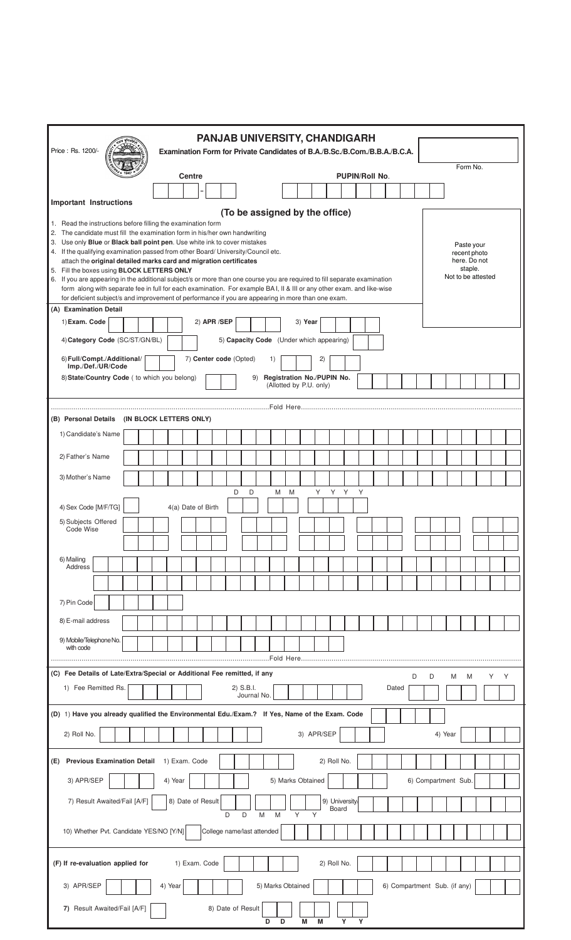| <b>PANJAB UNIVERSITY, CHANDIGARH</b><br>Price: Rs. 1200/-<br>Examination Form for Private Candidates of B.A./B.Sc./B.Com./B.B.A./B.C.A.                                 |         |                    |                        |                          |                                          |   |                         |            |             |                       |   |       |   |                              |   |              |                    |   |   |
|-------------------------------------------------------------------------------------------------------------------------------------------------------------------------|---------|--------------------|------------------------|--------------------------|------------------------------------------|---|-------------------------|------------|-------------|-----------------------|---|-------|---|------------------------------|---|--------------|--------------------|---|---|
|                                                                                                                                                                         |         |                    |                        |                          |                                          |   |                         |            |             |                       |   |       |   |                              |   | Form No.     |                    |   |   |
|                                                                                                                                                                         |         | <b>Centre</b>      |                        |                          |                                          |   |                         |            |             | <b>PUPIN/Roll No.</b> |   |       |   |                              |   |              |                    |   |   |
| <b>Important Instructions</b>                                                                                                                                           |         |                    |                        |                          |                                          |   |                         |            |             |                       |   |       |   |                              |   |              |                    |   |   |
|                                                                                                                                                                         |         |                    |                        |                          | (To be assigned by the office)           |   |                         |            |             |                       |   |       |   |                              |   |              |                    |   |   |
| 1. Read the instructions before filling the examination form<br>2. The candidate must fill the examination form in his/her own handwriting                              |         |                    |                        |                          |                                          |   |                         |            |             |                       |   |       |   |                              |   |              |                    |   |   |
| 3. Use only Blue or Black ball point pen. Use white ink to cover mistakes                                                                                               |         |                    |                        |                          |                                          |   |                         |            |             |                       |   |       |   |                              |   | Paste your   |                    |   |   |
| 4. If the qualifying examination passed from other Board/ University/Council etc.<br>attach the original detailed marks card and migration certificates                 |         |                    |                        |                          |                                          |   |                         |            |             |                       |   |       |   |                              |   | recent photo | here. Do not       |   |   |
| 5. Fill the boxes using BLOCK LETTERS ONLY<br>6. If you are appearing in the additional subject/s or more than one course you are required to fill separate examination |         |                    |                        |                          |                                          |   |                         |            |             |                       |   |       |   |                              |   | staple.      | Not to be attested |   |   |
| form along with separate fee in full for each examination. For example BA I, II & III or any other exam. and like-wise                                                  |         |                    |                        |                          |                                          |   |                         |            |             |                       |   |       |   |                              |   |              |                    |   |   |
| for deficient subject/s and improvement of performance if you are appearing in more than one exam.<br>(A) Examination Detail                                            |         |                    |                        |                          |                                          |   |                         |            |             |                       |   |       |   |                              |   |              |                    |   |   |
| 1) Exam. Code                                                                                                                                                           |         |                    | 2) APR /SEP            |                          |                                          |   | 3) Year                 |            |             |                       |   |       |   |                              |   |              |                    |   |   |
| 4) Category Code (SC/ST/GN/BL)                                                                                                                                          |         |                    |                        |                          | 5) Capacity Code (Under which appearing) |   |                         |            |             |                       |   |       |   |                              |   |              |                    |   |   |
|                                                                                                                                                                         |         |                    |                        |                          |                                          |   |                         |            |             |                       |   |       |   |                              |   |              |                    |   |   |
| 6) Full/Compt./Additional/<br>Imp./Def./UR/Code                                                                                                                         |         |                    | 7) Center code (Opted) |                          | 1)                                       |   |                         | 2)         |             |                       |   |       |   |                              |   |              |                    |   |   |
| 8) State/Country Code ( to which you belong)                                                                                                                            |         |                    |                        |                          | 9) Registration No./PUPIN No.            |   | (Allotted by P.U. only) |            |             |                       |   |       |   |                              |   |              |                    |   |   |
|                                                                                                                                                                         |         |                    |                        |                          |                                          |   |                         |            |             |                       |   |       |   |                              |   |              |                    |   |   |
| (B) Personal Details (IN BLOCK LETTERS ONLY)                                                                                                                            |         |                    |                        |                          |                                          |   |                         |            |             |                       |   |       |   |                              |   |              |                    |   |   |
| 1) Candidate's Name                                                                                                                                                     |         |                    |                        |                          |                                          |   |                         |            |             |                       |   |       |   |                              |   |              |                    |   |   |
|                                                                                                                                                                         |         |                    |                        |                          |                                          |   |                         |            |             |                       |   |       |   |                              |   |              |                    |   |   |
| 2) Father's Name                                                                                                                                                        |         |                    |                        |                          |                                          |   |                         |            |             |                       |   |       |   |                              |   |              |                    |   |   |
| 3) Mother's Name                                                                                                                                                        |         |                    |                        |                          |                                          |   |                         |            |             |                       |   |       |   |                              |   |              |                    |   |   |
|                                                                                                                                                                         |         |                    | D                      | D                        | M                                        | M |                         | Y          | Y Y         |                       | Y |       |   |                              |   |              |                    |   |   |
| 4) Sex Code [M/F/TG]                                                                                                                                                    |         | 4(a) Date of Birth |                        |                          |                                          |   |                         |            |             |                       |   |       |   |                              |   |              |                    |   |   |
| 5) Subjects Offered                                                                                                                                                     |         |                    |                        |                          |                                          |   |                         |            |             |                       |   |       |   |                              |   |              |                    |   |   |
| Code Wise                                                                                                                                                               |         |                    |                        |                          |                                          |   |                         |            |             |                       |   |       |   |                              |   |              |                    |   |   |
|                                                                                                                                                                         |         |                    |                        |                          |                                          |   |                         |            |             |                       |   |       |   |                              |   |              |                    |   |   |
| 6) Mailing<br>Address                                                                                                                                                   |         |                    |                        |                          |                                          |   |                         |            |             |                       |   |       |   |                              |   |              |                    |   |   |
|                                                                                                                                                                         |         |                    |                        |                          |                                          |   |                         |            |             |                       |   |       |   |                              |   |              |                    |   |   |
| 7) Pin Code                                                                                                                                                             |         |                    |                        |                          |                                          |   |                         |            |             |                       |   |       |   |                              |   |              |                    |   |   |
|                                                                                                                                                                         |         |                    |                        |                          |                                          |   |                         |            |             |                       |   |       |   |                              |   |              |                    |   |   |
| 8) E-mail address                                                                                                                                                       |         |                    |                        |                          |                                          |   |                         |            |             |                       |   |       |   |                              |   |              |                    |   |   |
| 9) Mobile/Telephone No.<br>with code                                                                                                                                    |         |                    |                        |                          |                                          |   |                         |            |             |                       |   |       |   |                              |   |              |                    |   |   |
|                                                                                                                                                                         |         |                    |                        |                          | Fold Here                                |   |                         |            |             |                       |   |       |   |                              |   |              |                    |   |   |
| (C) Fee Details of Late/Extra/Special or Additional Fee remitted, if any                                                                                                |         |                    |                        |                          |                                          |   |                         |            |             |                       |   |       | D | D                            | M | M            |                    | Y | Y |
| 1) Fee Remitted Rs.                                                                                                                                                     |         |                    |                        | 2) S.B.I.<br>Journal No. |                                          |   |                         |            |             |                       |   | Dated |   |                              |   |              |                    |   |   |
| (D) 1) Have you already qualified the Environmental Edu./Exam.? If Yes, Name of the Exam. Code                                                                          |         |                    |                        |                          |                                          |   |                         |            |             |                       |   |       |   |                              |   |              |                    |   |   |
| 2) Roll No.                                                                                                                                                             |         |                    |                        |                          |                                          |   |                         | 3) APR/SEP |             |                       |   |       |   | 4) Year                      |   |              |                    |   |   |
| (E) Previous Examination Detail                                                                                                                                         |         | 1) Exam. Code      |                        |                          |                                          |   |                         |            | 2) Roll No. |                       |   |       |   |                              |   |              |                    |   |   |
| 3) APR/SEP                                                                                                                                                              | 4) Year |                    |                        |                          |                                          |   | 5) Marks Obtained       |            |             |                       |   |       |   | 6) Compartment Sub.          |   |              |                    |   |   |
|                                                                                                                                                                         |         |                    |                        |                          |                                          |   |                         |            |             |                       |   |       |   |                              |   |              |                    |   |   |
| 7) Result Awaited/Fail [A/F]<br>8) Date of Result<br>9) University<br>Board<br>D<br>D<br>M<br>Υ<br>Y<br>M                                                               |         |                    |                        |                          |                                          |   |                         |            |             |                       |   |       |   |                              |   |              |                    |   |   |
| College name/last attended<br>10) Whether Pvt. Candidate YES/NO [Y/N]                                                                                                   |         |                    |                        |                          |                                          |   |                         |            |             |                       |   |       |   |                              |   |              |                    |   |   |
| (F) If re-evaluation applied for                                                                                                                                        |         | 1) Exam. Code      |                        |                          |                                          |   |                         |            | 2) Roll No. |                       |   |       |   |                              |   |              |                    |   |   |
| 3) APR/SEP                                                                                                                                                              | 4) Year |                    |                        |                          | 5) Marks Obtained                        |   |                         |            |             |                       |   |       |   | 6) Compartment Sub. (if any) |   |              |                    |   |   |
| 7) Result Awaited/Fail [A/F]<br>8) Date of Result<br>Y<br>Y<br>D<br>M<br>M<br>D                                                                                         |         |                    |                        |                          |                                          |   |                         |            |             |                       |   |       |   |                              |   |              |                    |   |   |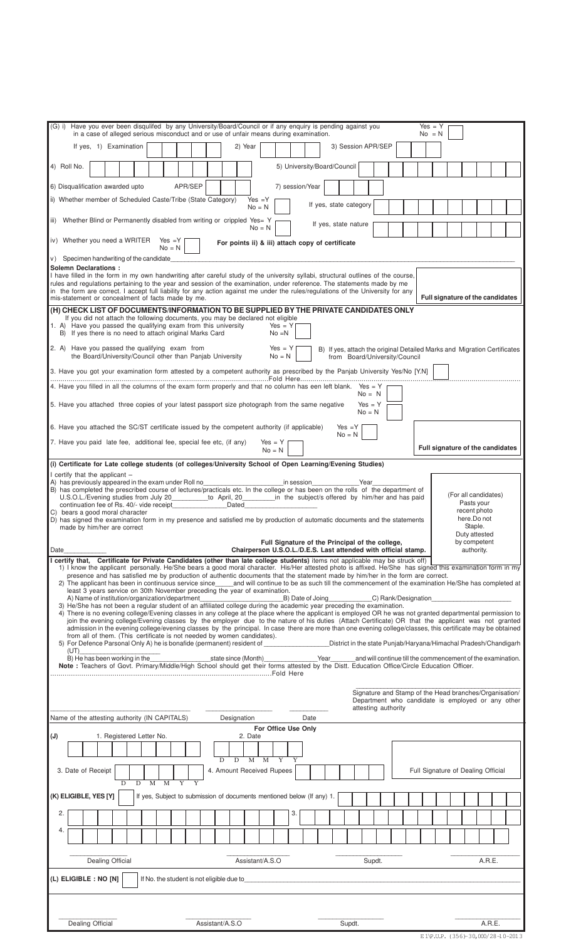| (G) i) Have you ever been disqulifed by any University/Board/Council or if any enguiry is pending against you<br>$Yes = Y$<br>in a case of alleged serious misconduct and or use of unfair means during examination.<br>$No = N$                                                                                                                                                                                                                                                          |  |  |  |  |  |
|-------------------------------------------------------------------------------------------------------------------------------------------------------------------------------------------------------------------------------------------------------------------------------------------------------------------------------------------------------------------------------------------------------------------------------------------------------------------------------------------|--|--|--|--|--|
| If yes, 1) Examination<br>3) Session APR/SEP<br>2) Year                                                                                                                                                                                                                                                                                                                                                                                                                                   |  |  |  |  |  |
| 5) University/Board/Council<br>4) Roll No.                                                                                                                                                                                                                                                                                                                                                                                                                                                |  |  |  |  |  |
| APR/SEP<br>6) Disqualification awarded upto<br>7) session/Year                                                                                                                                                                                                                                                                                                                                                                                                                            |  |  |  |  |  |
| ii) Whether member of Scheduled Caste/Tribe (State Category)<br>$Yes = Y$<br>If yes, state category<br>$No = N$                                                                                                                                                                                                                                                                                                                                                                           |  |  |  |  |  |
| iii) Whether Blind or Permanently disabled from writing or crippled Yes= Y<br>If yes, state nature<br>$No = N$                                                                                                                                                                                                                                                                                                                                                                            |  |  |  |  |  |
| iv) Whether you need a WRITER Yes = Y<br>For points ii) & iii) attach copy of certificate<br>$No = N$                                                                                                                                                                                                                                                                                                                                                                                     |  |  |  |  |  |
| v) Specimen handwriting of the candidate<br><b>Solemn Declarations:</b>                                                                                                                                                                                                                                                                                                                                                                                                                   |  |  |  |  |  |
| I have filled in the form in my own handwriting after careful study of the university syllabi, structural outlines of the course,<br>rules and regulations pertaining to the year and session of the examination, under reference. The statements made by me<br>in the form are correct. I accept full liability for any action against me under the rules/regulations of the University for any<br>Full signature of the candidates<br>mis-statement or concealment of facts made by me. |  |  |  |  |  |
| (H) CHECK LIST OF DOCUMENTS/INFORMATION TO BE SUPPLIED BY THE PRIVATE CANDIDATES ONLY                                                                                                                                                                                                                                                                                                                                                                                                     |  |  |  |  |  |
| If you did not attach the following documents, you may be declared not eligible<br>1. A) Have you passed the qualifying exam from this university<br>$Yes = Y$<br>B) If yes there is no need to attach original Marks Card<br>$No = N$                                                                                                                                                                                                                                                    |  |  |  |  |  |
| 2. A) Have you passed the qualifying exam from<br>$Yes = Y$<br>B) If yes, attach the original Detailed Marks and Migration Certificates<br>the Board/University/Council other than Panjab University<br>$No = N$<br>from Board/University/Council                                                                                                                                                                                                                                         |  |  |  |  |  |
| 3. Have you got your examination form attested by a competent authority as prescribed by the Panjab University Yes/No [Y.N]                                                                                                                                                                                                                                                                                                                                                               |  |  |  |  |  |
| 4. Have you filled in all the columns of the exam form properly and that no column has een left blank. Yes = Y<br>$No = N$<br>5. Have you attached three copies of your latest passport size photograph from the same negative<br>$Yes = Y$                                                                                                                                                                                                                                               |  |  |  |  |  |
| $No = N$<br>6. Have you attached the SC/ST certificate issued by the competent authority (if applicable)<br>$Yes = Y$                                                                                                                                                                                                                                                                                                                                                                     |  |  |  |  |  |
| $No = N$<br>7. Have you paid late fee, additional fee, special fee etc, (if any)<br>$Yes = Y$<br>Full signature of the candidates                                                                                                                                                                                                                                                                                                                                                         |  |  |  |  |  |
| $No = N$<br>(i) Certificate for Late college students (of colleges/University School of Open Learning/Evening Studies)                                                                                                                                                                                                                                                                                                                                                                    |  |  |  |  |  |
| I certify that the applicant $-$                                                                                                                                                                                                                                                                                                                                                                                                                                                          |  |  |  |  |  |
| A) has previously appeared in the exam under Roll no<br>in session<br>Year<br>B) has completed the prescribed course of lectures/practicals etc. In the college or has been on the rolls of the department of<br>(For all candidates)<br>U.S.O.L./Evening studies from July 20___________to April, 20__________in the subject/s offered by him/her and has paid<br>Pasts your<br>continuation fee of Rs. 40/- vide receipt<br>Dated                                                       |  |  |  |  |  |
| recent photo<br>C) bears a good moral character<br>here.Do not<br>D) has signed the examination form in my presence and satisfied me by production of automatic documents and the statements<br>Staple.                                                                                                                                                                                                                                                                                   |  |  |  |  |  |
| made by him/her are correct<br>Duty attested<br>Full Signature of the Principal of the college,<br>by competent                                                                                                                                                                                                                                                                                                                                                                           |  |  |  |  |  |
| authority.<br>Date<br>Chairperson U.S.O.L./D.E.S. Last attended with official stamp.                                                                                                                                                                                                                                                                                                                                                                                                      |  |  |  |  |  |
| I certify that, Certificate for Private Candidates (other than late college students) items not applicable may be struck off)<br>1) I know the applicant personally. He/She bears a good moral character. His/Her attested photo is affixed. He/She has signed this examination form in my                                                                                                                                                                                                |  |  |  |  |  |
| presence and has satisfied me by production of authentic documents that the statement made by him/her in the form are correct.<br>2) The applicant has been in continuous service since and will continue to be as such till the commencement of the examination He/She has completed at<br>least 3 years service on 30th November preceding the year of examination.                                                                                                                     |  |  |  |  |  |
| A) Name of institution/organization/department<br>B) Date of Joing<br>C) Rank/Designation<br>3) He/She has not been a regular student of an affiliated college during the academic year preceding the examination.                                                                                                                                                                                                                                                                        |  |  |  |  |  |
| 4) There is no evening college/Evening classes in any college at the place where the applicant is employed OR he was not granted departmental permission to<br>join the evening college/Evening classes by the employer due to the nature of his duties (Attach Certificate) OR that the applicant was not granted                                                                                                                                                                        |  |  |  |  |  |
| admission in the evening college/evening classes by the principal. In case there are more than one evening college/classes, this certificate may be obtained<br>from all of them. (This certificate is not needed by women candidates).<br>5) For Defence Parsonal Only A) he is bonafide (permanent) resident of <b>South Annual Concept Condom</b> District in the state Puniab/Haryana/Himachal Pradesh/Chandigarh                                                                     |  |  |  |  |  |
| (UT)<br>B) He has been working in the<br>Year<br>and will continue till the commencement of the examination.<br>state since (Month)                                                                                                                                                                                                                                                                                                                                                       |  |  |  |  |  |
| Note : Teachers of Govt. Primary/Middle/High School should get their forms attested by the Distt. Education Office/Circle Education Officer.                                                                                                                                                                                                                                                                                                                                              |  |  |  |  |  |
| Signature and Stamp of the Head branches/Organisation/                                                                                                                                                                                                                                                                                                                                                                                                                                    |  |  |  |  |  |
| Department who candidate is employed or any other<br>attesting authority                                                                                                                                                                                                                                                                                                                                                                                                                  |  |  |  |  |  |
| Name of the attesting authority (IN CAPITALS)<br>Designation<br>Date                                                                                                                                                                                                                                                                                                                                                                                                                      |  |  |  |  |  |
| For Office Use Only<br>(J)<br>1. Registered Letter No.<br>2. Date                                                                                                                                                                                                                                                                                                                                                                                                                         |  |  |  |  |  |
| M<br>D                                                                                                                                                                                                                                                                                                                                                                                                                                                                                    |  |  |  |  |  |
| D<br>M<br>3. Date of Receipt<br>4. Amount Received Rupees<br>Full Signature of Dealing Official<br>$\overline{M}$<br>M<br>D<br>D                                                                                                                                                                                                                                                                                                                                                          |  |  |  |  |  |
| (K) ELIGIBLE, YES [Y]<br>If yes, Subject to submission of documents mentioned below (If any) 1.                                                                                                                                                                                                                                                                                                                                                                                           |  |  |  |  |  |
| 2.<br>3.                                                                                                                                                                                                                                                                                                                                                                                                                                                                                  |  |  |  |  |  |
| 4.                                                                                                                                                                                                                                                                                                                                                                                                                                                                                        |  |  |  |  |  |
| Dealing Official<br>Assistant/A.S.O<br>Supdt.<br>A.R.E.                                                                                                                                                                                                                                                                                                                                                                                                                                   |  |  |  |  |  |
| (L) ELIGIBLE : NO [N]<br>If No. the student is not eligible due to the state of the students of the student is not eligible due to                                                                                                                                                                                                                                                                                                                                                        |  |  |  |  |  |
|                                                                                                                                                                                                                                                                                                                                                                                                                                                                                           |  |  |  |  |  |
|                                                                                                                                                                                                                                                                                                                                                                                                                                                                                           |  |  |  |  |  |
| Dealing Official<br>Assistant/A.S.O<br>A.R.E.<br>Supdt.                                                                                                                                                                                                                                                                                                                                                                                                                                   |  |  |  |  |  |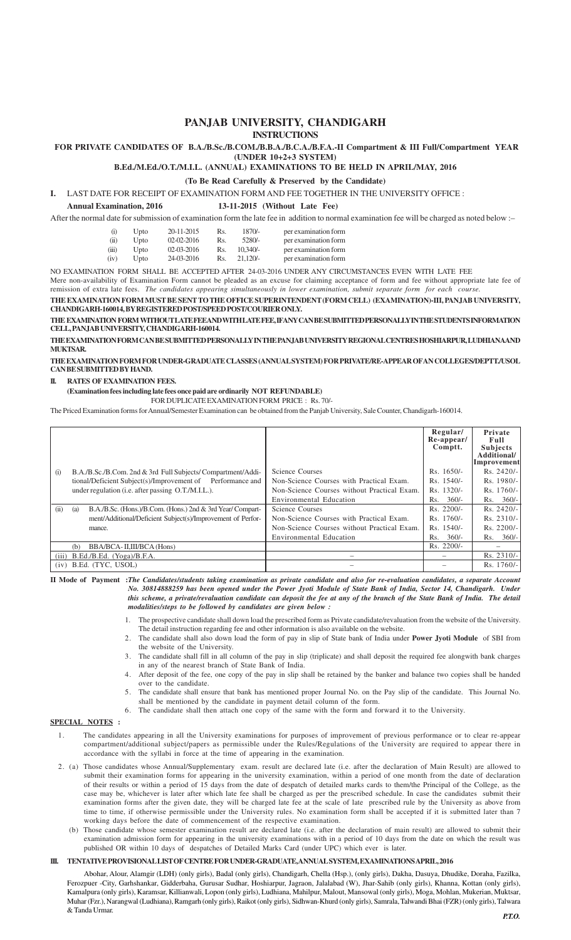## **PANJAB UNIVERSITY, CHANDIGARH INSTRUCTIONS**

### **FOR PRIVATE CANDIDATES OF B.A./B.Sc./B.COM./B.B.A./B.C.A./B.F.A.-II Compartment & III Full/Compartment YEAR (UNDER 10+2+3 SYSTEM)**

**B.Ed./M.Ed./O.T./M.I.L. (ANNUAL) EXAMINATIONS TO BE HELD IN APRIL/MAY, 2016**

**(To Be Read Carefully & Preserved by the Candidate)**

**I.** LAST DATE FOR RECEIPT OF EXAMINATION FORM AND FEE TOGETHER IN THE UNIVERSITY OFFICE :

### **Annual Examination, 2016 13-11-2015 (Without Late Fee)**

After the normal date for submission of examination form the late fee in addition to normal examination fee will be charged as noted below :–

| (i)   | Upto | 20-11-2015   | Rs. | $1870/-$   | per examination form |
|-------|------|--------------|-----|------------|----------------------|
| (ii)  | Upto | $02-02-2016$ | Rs. | 5280/-     | per examination form |
| (iii) | Upto | 02-03-2016   | Rs. | $10.340/-$ | per examination form |
| (iv)  | Upto | 24-03-2016   | Rs. | $21.120/-$ | per examination form |

NO EXAMINATION FORM SHALL BE ACCEPTED AFTER 24-03-2016 UNDER ANY CIRCUMSTANCES EVEN WITH LATE FEE

Mere non-availability of Examination Form cannot be pleaded as an excuse for claiming acceptance of form and fee without appropriate late fee of

remission of extra late fees. *The candidates appearing simultaneously in lower examination, submit separate form for each course.* **THE EXAMINATION FORM MUST BE SENT TO THE OFFICE SUPERINTENDENT (FORM CELL) (EXAMINATION)-III, PANJAB UNIVERSITY,**

**CHANDIGARH-160014, BY REGISTERED POST/SPEED POST/COURIER ONLY.**

**THE EXAMINATION FORM WITHOUT LATE FEE AND WITH LATE FEE, IFANY CAN BE SUBMITTED PERSONALLY IN THE STUDENTS INFORMATION CELL, PANJAB UNIVERSITY, CHANDIGARH-160014.**

**THE EXAMINATION FORM CAN BE SUBMITTED PERSONALLY IN THE PANJAB UNIVERSITY REGIONAL CENTRES HOSHIARPUR, LUDHIANAAND MUKTSAR.**

**THE EXAMINATION FORM FOR UNDER-GRADUATE CLASSES (ANNUAL SYSTEM) FOR PRIVATE/RE-APPEAR OFAN COLLEGES/DEPTT./USOL CAN BE SUBMITTED BY HAND.**

#### **II. RATES OF EXAMINATION FEES.**

**(Examination fees including late fees once paid are ordinarily NOT REFUNDABLE)**

FOR DUPLICATE EXAMINATION FORM PRICE : Rs. 70/-

The Priced Examination forms for Annual/Semester Examination can be obtained from the Panjab University, Sale Counter, Chandigarh-160014.

|      |                                                                   |                                             | Regular/<br>Re-appear/<br>Comptt. | Private<br>Full<br><b>Subjects</b><br>Additional/<br>Improvement |
|------|-------------------------------------------------------------------|---------------------------------------------|-----------------------------------|------------------------------------------------------------------|
| (i)  | B.A./B.Sc./B.Com. 2nd & 3rd Full Subjects/Compartment/Addi-       | Science Courses                             | $Rs. 1650/-$                      | $Rs. 2420/-$                                                     |
|      | tional/Deficient Subject(s)/Improvement of Performance and        | Non-Science Courses with Practical Exam.    | $Rs. 1540/-$                      | $Rs. 1980/-$                                                     |
|      | under regulation ( <i>i.e.</i> after passing O.T./M.I.L.).        | Non-Science Courses without Practical Exam. | Rs. 1320/-                        | Rs. 1760/-                                                       |
|      |                                                                   | Environmental Education                     | $360/-$<br>Rs.                    | $Rs. 360/-$                                                      |
| (ii) | B.A./B.Sc. (Hons.)/B.Com. (Hons.) 2nd & 3rd Year/ Compart-<br>(a) | Science Courses                             | $Rs. 2200/-$                      | $Rs. 2420/-$                                                     |
|      | ment/Additional/Deficient Subject(s)/Improvement of Perfor-       | Non-Science Courses with Practical Exam.    | $Rs. 1760/-$                      | $Rs. 2310/-$                                                     |
|      | mance.                                                            | Non-Science Courses without Practical Exam. | $Rs. 1540/-$                      | Rs. 2200/-                                                       |
|      |                                                                   | Environmental Education                     | $360/-$<br>Rs.                    | $360/-$<br>Rs.                                                   |
|      | BBA/BCA-II,III/BCA (Hons)<br>(b)                                  |                                             | $Rs. 2200/-$                      |                                                                  |
|      | $(iii)$ B.Ed./B.Ed. (Yoga)/B.F.A.                                 |                                             | $\overline{\phantom{0}}$          | $Rs. 2310/-$                                                     |
| (iv) | B.Ed. (TYC. USOL)                                                 |                                             |                                   | Rs. 1760/-                                                       |

**II Mode of Payment :***The Candidates/students taking examination as private candidate and also for re-evaluation candidates, a separate Account No. 30814888259 has been opened under the Power Jyoti Module of State Bank of India, Sector 14, Chandigarh. Under this scheme, a private/revaluation candidate can deposit the fee at any of the branch of the State Bank of India. The detail modalities/steps to be followed by candidates are given below :*

- 1. The prospective candidate shall down load the prescribed form as Private candidate/revaluation from the website of the University. The detail instruction regarding fee and other information is also available on the website.
- 2. The candidate shall also down load the form of pay in slip of State bank of India under **Power Jyoti Module** of SBI from the website of the University.
- 3. The candidate shall fill in all column of the pay in slip (triplicate) and shall deposit the required fee alongwith bank charges in any of the nearest branch of State Bank of India.
- 4. After deposit of the fee, one copy of the pay in slip shall be retained by the banker and balance two copies shall be handed over to the candidate.
- 5. The candidate shall ensure that bank has mentioned proper Journal No. on the Pay slip of the candidate. This Journal No. shall be mentioned by the candidate in payment detail column of the form.
- 6. The candidate shall then attach one copy of the same with the form and forward it to the University.

#### **SPECIAL NOTES :**

- 1. The candidates appearing in all the University examinations for purposes of improvement of previous performance or to clear re-appear compartment/additional subject/papers as permissible under the Rules/Regulations of the University are required to appear there in accordance with the syllabi in force at the time of appearing in the examination.
- 2. (a) Those candidates whose Annual/Supplementary exam. result are declared late (i.e. after the declaration of Main Result) are allowed to submit their examination forms for appearing in the university examination, within a period of one month from the date of declaration of their results or within a period of 15 days from the date of despatch of detailed marks cards to them/the Principal of the College, as the case may be, whichever is later after which late fee shall be charged as per the prescribed schedule. In case the candidates submit their examination forms after the given date, they will be charged late fee at the scale of late prescribed rule by the University as above from time to time, if otherwise permissible under the University rules. No examination form shall be accepted if it is submitted later than 7 working days before the date of commencement of the respective examination.
	- (b) Those candidate whose semester examination result are declared late (i.e. after the declaration of main result) are allowed to submit their examination admission form for appearing in the university examinations with in a period of 10 days from the date on which the result was published OR within 10 days of despatches of Detailed Marks Card (under UPC) which ever is later.

#### **III. TENTATIVE PROVISIONAL LIST OF CENTRE FOR UNDER-GRADUATE, ANNUAL SYSTEM, EXAMINATIONS APRIL, 2016**

Abohar, Alour, Alamgir (LDH) (only girls), Badal (only girls), Chandigarh, Chella (Hsp.), (only girls), Dakha, Dasuya, Dhudike, Doraha, Fazilka, Ferozpuer -City, Garhshankar, Gidderbaha, Gurusar Sudhar, Hoshiarpur, Jagraon, Jalalabad (W), Jhar-Sahib (only girls), Khanna, Kottan (only girls), Kamalpura (only girls), Karamsar, Killianwali, Lopon (only girls), Ludhiana, Mahilpur, Malout, Mansowal (only girls), Moga, Mohlan, Mukerian, Muktsar, Muhar (Fzr.), Narangwal (Ludhiana), Ramgarh (only girls), Raikot (only girls), Sidhwan-Khurd (only girls), Samrala, Talwandi Bhai (FZR) (only girls), Talwara & Tanda Urmar.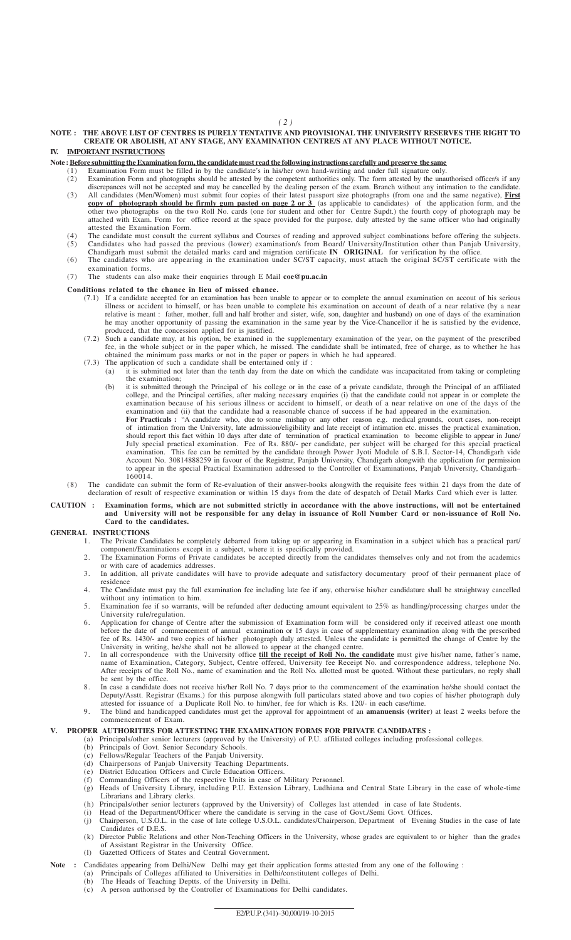# **NOTE : THE ABOVE LIST OF CENTRES IS PURELY TENTATIVE AND PROVISIONAL THE UNIVERSITY RESERVES THE RIGHT TO CREATE OR ABOLISH, AT ANY STAGE, ANY EXAMINATION CENTRE/S AT ANY PLACE WITHOUT NOTICE.**

# **IV. IMPORTANT INSTRUCTIONS**

# **Note : Before submitting the Examination form, the candidate must read the following instructions carefully and preserve the same**

- (1) Examination Form must be filled in by the candidate's in his/her own hand-writing and under full signature only.
	- (2) Examination Form and photographs should be attested by the competent authorities only. The form attested by the unauthorised officer/s if any discrepances will not be accepted and may be cancelled by the dealing person of the exam. Branch without any intimation to the candidate. (3) All candidates (Men/Women) must submit four copies of their latest passport size photographs (from one and the same negative), **First copy of photograph should be firmly gum pasted on page 2 or 3** (as applicable to candidates) of the application form, and the
	- other two photographs on the two Roll No. cards (one for student and other for Centre Supdt.) the fourth copy of photograph may be attached with Exam. Form for office record at the space provided for the purpose, duly attested by the same officer who had originally attested the Examination Form.
	- (4) The candidate must consult the current syllabus and Courses of reading and approved subject combinations before offering the subjects. (5) Candidates who had passed the previous (lower) examination/s from Board/ University/Institution other than Panjab University,
	- Chandigarh must submit the detailed marks card and migration certificate **IN ORIGINAL** for verification by the office. (6) The candidates who are appearing in the examination under SC/ST capacity, must attach the original SC/ST certificate with the examination forms.

#### (7) The students can also make their enquiries through E Mail **coe@pu.ac.in**

#### **Conditions related to the chance in lieu of missed chance.**

- (7.1) If a candidate accepted for an examination has been unable to appear or to complete the annual examination on accout of his serious illness or accident to himself, or has been unable to complete his examination on account of death of a near relative (by a near relative is meant : father, mother, full and half brother and sister, wife, son, daughter and husband) on one of days of the examination he may another opportunity of passing the examination in the same year by the Vice-Chancellor if he is satisfied by the evidence, produced, that the concession applied for is justified.
- (7.2) Such a candidate may, at his option, be examined in the supplementary examination of the year, on the payment of the prescribed fee, in the whole subject or in the paper which, he missed. The candidate shall be intimated, free of charge, as to whether he has obtained the minimum pass marks or not in the paper or papers in which he had appeared.
- (7.3) The application of such a candidate shall be entertained only if : (a) it is submitted not later than the tenth day from the date on which the candidate was incapacitated from taking or completing
	- the examination; (b) it is submitted through the Principal of his college or in the case of a private candidate, through the Principal of an affiliated college, and the Principal certifies, after making necessary enquiries (i) that the candidate could not appear in or complete the examination because of his serious illness or accident to himself, or death of a near relative on one of the days of the examination and (ii) that the candidate had a reasonable chance of success if he had appeared in the examination.

**For Practicals :** "A candidate who, due to some mishap or any other reason e.g. medical grounds, court cases, non-receipt of intimation from the University, late admission/eligibility and late receipt of intimation etc. misses the practical examination, should report this fact within 10 days after date of termination of practical examination to become eligible to appear in June/ July special practical examination. Fee of Rs. 880/- per candidate, per subject will be charged for this special practical examination. This fee can be remitted by the candidate through Power Jyoti Module of S.B.I. Sector-14, Chandigarh vide Account No. 30814888259 in favour of the Registrar, Panjab University, Chandigarh alongwith the application for permission to appear in the special Practical Examination addressed to the Controller of Examinations, Panjab University, Chandigarh– 160014.

(8) The candidate can submit the form of Re-evaluation of their answer-books alongwith the requisite fees within 21 days from the date of declaration of result of respective examination or within 15 days from the date of despatch of Detail Marks Card which ever is latter.

#### **CAUTION : Examination forms, which are not submitted strictly in accordance with the above instructions, will not be entertained and University will not be responsible for any delay in issuance of Roll Number Card or non-issuance of Roll No. Card to the candidates.**

# **GENERAL INSTRUCTIONS**<br>1. The Private Car

- 1. The Private Candidates be completely debarred from taking up or appearing in Examination in a subject which has a practical part/ component/Examinations except in a subject, where it is specifically provided.
- 2. The Examination Forms of Private candidates be accepted directly from the candidates themselves only and not from the academics or with care of academics addresses.
- 3. In addition, all private candidates will have to provide adequate and satisfactory documentary proof of their permanent place of residence
- 4. The Candidate must pay the full examination fee including late fee if any, otherwise his/her candidature shall be straightway cancelled without any intimation to him.
- 5. Examination fee if so warrants, will be refunded after deducting amount equivalent to 25% as handling/processing charges under the University rule/regulation.
- 6. Application for change of Centre after the submission of Examination form will be considered only if received atleast one month before the date of commencement of annual examination or 15 days in case of supplementary examination along with the prescribed fee of Rs. 1430/- and two copies of his/her photograph duly attested. Unless the candidate is permitted the change of Centre by the University in writing, he/she shall not be allowed to appear at the changed centre.
- 7. In all correspondence with the University office **till the receipt of Roll No. the candidate** must give his/her name, father's name, name of Examination, Category, Subject, Centre offered, University fee Receipt No. and correspondence address, telephone No. After receipts of the Roll No., name of examination and the Roll No. allotted must be quoted. Without these particulars, no reply shall be sent by the office.
- 8. In case a candidate does not receive his/her Roll No. 7 days prior to the commencement of the examination he/she should contact the Deputy/Asstt. Registrar (Exams.) for this purpose alongwith full particulars stated above and two copies of his/her photograph duly attested for issuance of a Duplicate Roll No. to him/her, fee for which is Rs. 120/- in each case/time.
- 9. The blind and handicapped candidates must get the approval for appointment of an **amanuensis (writer**) at least 2 weeks before the commencement of Exam.

# **V. PROPER AUTHORITIES FOR ATTESTING THE EXAMINATION FORMS FOR PRIVATE CANDIDATES :**

- (a) Principals/other senior lecturers (approved by the University) of P.U. affiliated colleges including professional colleges.
	- (b) Principals of Govt. Senior Secondary Schools.
	- (c) Fellows/Regular Teachers of the Panjab University.
	- (d) Chairpersons of Panjab University Teaching Departments.
	- (e) District Education Officers and Circle Education Officers.
	- (f) Commanding Officers of the respective Units in case of Military Personnel. (g) Heads of University Library, including P.U. Extension Library, Ludhiana and Central State Library in the case of whole-time Librarians and Library clerks.
	- (h) Principals/other senior lecturers (approved by the University) of Colleges last attended in case of late Students.
	- (i) Head of the Department/Officer where the candidate is serving in the case of Govt./Semi Govt. Offices.
	- (j) Chairperson, U.S.O.L. in the case of late college U.S.O.L. candidates/Chairperson, Department of Evening Studies in the case of late Candidates of D.E.S.
	- (k) Director Public Relations and other Non-Teaching Officers in the University, whose grades are equivalent to or higher than the grades of Assistant Registrar in the University Office.
	- (l) Gazetted Officers of States and Central Government.

## **Note :** Candidates appearing from Delhi/New Delhi may get their application forms attested from any one of the following :

- (a) Principals of Colleges affiliated to Universities in Delhi/constitutent colleges of Delhi.
- (b) The Heads of Teaching Deptts. of the University in Delhi.
- (c) A person authorised by the Controller of Examinations for Delhi candidates.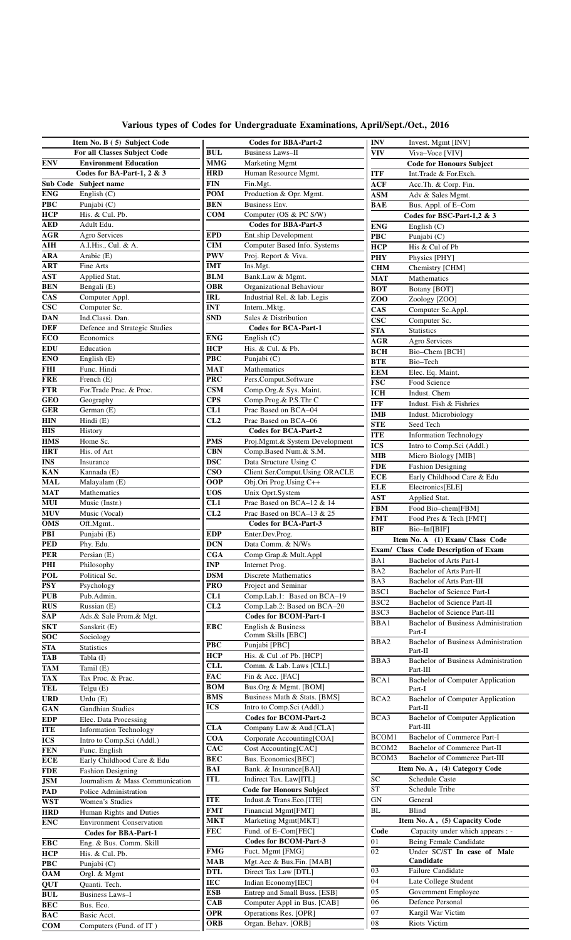|  | Various types of Codes for Undergraduate Examinations, April/Sept./Oct., 2016 |  |  |
|--|-------------------------------------------------------------------------------|--|--|
|  |                                                                               |  |  |

|                           | Item No. B (5) Subject Code     |            | <b>Codes for BBA-Part-2</b>     | <b>INV</b>              | Invest. Mgmt [INV]                                |
|---------------------------|---------------------------------|------------|---------------------------------|-------------------------|---------------------------------------------------|
|                           | For all Classes Subject Code    | <b>BUL</b> | <b>Business Laws-II</b>         | <b>VIV</b>              | Viva-Voce [VIV]                                   |
| ${\bf ENV}$               | <b>Environment Education</b>    | <b>MMG</b> | Marketing Mgmt                  |                         | <b>Code for Honours Subject</b>                   |
|                           | Codes for BA-Part-1, 2 & 3      | <b>HRD</b> | Human Resource Mgmt.            | <b>ITF</b>              | Int.Trade & For.Exch.                             |
|                           | Sub Code Subject name           | <b>FIN</b> | Fin.Mgt.                        | <b>ACF</b>              | Acc.Th. & Corp. Fin.                              |
| <b>ENG</b>                | English $(C)$                   | <b>POM</b> | Production & Opr. Mgmt.         | <b>ASM</b>              | Adv & Sales Mgmt.                                 |
| $\overline{\mathbf{PBC}}$ | Punjabi (C)                     | <b>BEN</b> | Business Env.                   | BAE                     | Bus. Appl. of E-Com                               |
| <b>HCP</b>                | His. & Cul. Pb.                 | <b>COM</b> | Computer (OS & PC S/W)          |                         | Codes for BSC-Part-1,2 & 3                        |
| <b>AED</b>                | Adult Edu.                      |            | <b>Codes for BBA-Part-3</b>     | <b>ENG</b>              | English $(C)$                                     |
| <b>AGR</b>                | Agro Services                   | <b>EPD</b> | Ent.ship Development            | <b>PBC</b>              | Punjabi (C)                                       |
| $\overline{\text{AH}}$    | A.I.His., Cul. & A.             | <b>CIM</b> | Computer Based Info. Systems    | <b>HCP</b>              | His & Cul of Pb                                   |
| <b>ARA</b>                | Arabic (E)                      | <b>PWV</b> | Proj. Report & Viva.            | <b>PHY</b>              | Physics [PHY]                                     |
| <b>ART</b>                | Fine Arts                       | <b>IMT</b> | Ins.Mgt.                        | <b>CHM</b>              | Chemistry [CHM]                                   |
| <b>AST</b>                | Applied Stat.                   | <b>BLM</b> | Bank.Law & Mgmt.                | <b>MAT</b>              | Mathematics                                       |
| <b>BEN</b>                | Bengali (E)                     | <b>OBR</b> | Organizational Behaviour        | BOT                     | Botany [BOT]                                      |
| $\overline{\text{CAS}}$   | Computer Appl.                  | <b>IRL</b> | Industrial Rel. & lab. Legis    | ZOO                     | Zoology [ZOO]                                     |
| $\csc$                    | Computer Sc.                    | <b>INT</b> | InternMktg.                     | CAS                     | Computer Sc.Appl.                                 |
| <b>DAN</b>                | Ind.Classi. Dan.                | <b>SND</b> | Sales & Distribution            | <b>CSC</b>              | Computer Sc.                                      |
| <b>DEF</b>                | Defence and Strategic Studies   |            | <b>Codes for BCA-Part-1</b>     | <b>STA</b>              | <b>Statistics</b>                                 |
| ECO                       | Economics                       | <b>ENG</b> | English $(C)$                   | <b>AGR</b>              | Agro Services                                     |
| <b>EDU</b>                | Education                       | <b>HCP</b> | His. & Cul. & Pb.               | <b>BCH</b>              | Bio-Chem [BCH]                                    |
| <b>ENO</b>                | English $(E)$                   | <b>PBC</b> | Punjabi (C)                     | <b>BTE</b>              | Bio-Tech                                          |
| <b>FHI</b>                | Func. Hindi                     | <b>MAT</b> | Mathematics                     | <b>EEM</b>              | Elec. Eq. Maint.                                  |
| <b>FRE</b>                | French $(E)$                    | <b>PRC</b> | Pers.Comput.Software            | $\overline{\text{FSC}}$ | Food Science                                      |
| <b>FTR</b>                | For Trade Prac. & Proc.         | <b>CSM</b> | Comp.Org.& Sys. Maint.          | <b>ICH</b>              |                                                   |
| $\overline{\text{GEO}}$   | Geography                       | <b>CPS</b> | Comp.Prog.& P.S.Thr C           |                         | Indust. Chem                                      |
| <b>GER</b>                | German (E)                      | CL1        | Prac Based on BCA-04            | <b>IFF</b>              | Indust. Fish & Fishries                           |
| <b>HIN</b>                | Hindi (E)                       | CL2        | Prac Based on BCA-06            | <b>IMB</b>              | Indust. Microbiology                              |
| <b>HIS</b>                | History                         |            | <b>Codes for BCA-Part-2</b>     | <b>STE</b>              | Seed Tech                                         |
| <b>HMS</b>                | Home Sc.                        | <b>PMS</b> | Proj.Mgmt.& System Development  | <b>ITE</b>              | <b>Information Technology</b>                     |
| <b>HRT</b>                | His. of Art                     | <b>CBN</b> | Comp.Based Num.& S.M.           | <b>ICS</b>              | Intro to Comp.Sci (Addl.)                         |
| $\overline{\text{INS}}$   | Insurance                       | <b>DSC</b> | Data Structure Using C          | <b>MIB</b>              | Micro Biology [MIB]                               |
| <b>KAN</b>                | Kannada (E)                     | <b>CSO</b> | Client Ser.Comput.Using ORACLE  | <b>FDE</b>              | <b>Fashion Designing</b>                          |
| <b>MAL</b>                | Malayalam (E)                   | <b>OOP</b> | Obj.Ori Prog.Using C++          | <b>ECE</b>              | Early Childhood Care & Edu                        |
| <b>MAT</b>                | Mathematics                     | <b>UOS</b> | Unix Oprt.System                | <b>ELE</b>              | Electronics[ELE]                                  |
| <b>MUI</b>                | Music (Instr.)                  | CL1        | Prac Based on BCA-12 & 14       | <b>AST</b>              | Applied Stat.                                     |
| <b>MUV</b>                | Music (Vocal)                   | CL2        | Prac Based on BCA-13 & 25       | <b>FBM</b>              | Food Bio-chem[FBM]                                |
| <b>OMS</b>                | Off.Mgmt                        |            | Codes for BCA-Part-3            | <b>FMT</b>              | Food Pres & Tech [FMT]                            |
| PBI                       | Punjabi (E)                     | <b>EDP</b> | Enter.Dev.Prog.                 | <b>BIF</b>              | Bio-Inf[BIF]                                      |
| <b>PED</b>                | Phy. Edu.                       | <b>DCN</b> | Data Comm. & N/Ws               |                         | Item No. A (1) Exam/ Class Code                   |
| <b>PER</b>                | Persian (E)                     | CGA        | Comp Grap.& Mult.Appl           |                         | Exam/ Class Code Description of Exam              |
| PHI                       | Philosophy                      | <b>INP</b> | Internet Prog.                  | BA1                     | Bachelor of Arts Part-I                           |
| <b>POL</b>                | Political Sc.                   | DSM        | <b>Discrete Mathematics</b>     | BA <sub>2</sub>         | Bachelor of Arts Part-II                          |
| <b>PSY</b>                | Psychology                      | <b>PRO</b> | Project and Seminar             | BA3                     | Bachelor of Arts Part-III                         |
| <b>PUB</b>                | Pub.Admin.                      | CL1        | Comp.Lab.1: Based on BCA-19     | BSC1                    | Bachelor of Science Part-I                        |
| <b>RUS</b>                | Russian (E)                     | CL2        | Comp.Lab.2: Based on BCA-20     | BSC <sub>2</sub>        | Bachelor of Science Part-II                       |
| SAP                       | Ads.& Sale Prom.& Mgt.          |            | <b>Codes for BCOM-Part-1</b>    | BSC3                    | Bachelor of Science Part-III                      |
| <b>SKT</b>                | Sanskrit (E)                    | <b>EBC</b> | English & Business              | BBA1                    | Bachelor of Business Administration               |
| $\overline{SOC}$          | Sociology                       |            | Comm Skills [EBC]               |                         | Part-I                                            |
| <b>STA</b>                | <b>Statistics</b>               | PBC        | Punjabi [PBC]                   | BBA2                    | Bachelor of Business Administration               |
| <b>TAB</b>                | Tabla (I)                       | <b>HCP</b> | His. & Cul .of Pb. [HCP]        |                         | Part-II                                           |
| <b>TAM</b>                | Tamil (E)                       | <b>CLL</b> | Comm. & Lab. Laws [CLL]         | BBA3                    | Bachelor of Business Administration               |
| <b>TAX</b>                | Tax Proc. & Prac.               | FAC        | Fin & Acc. [FAC]                |                         | Part-III                                          |
| <b>TEL</b>                | Telgu $(E)$                     | BOM        | Bus.Org & Mgmt. [BOM]           | BCA1                    | <b>Bachelor of Computer Application</b><br>Part-I |
| <b>URD</b>                | Urdu $(E)$                      | <b>BMS</b> | Business Math & Stats. [BMS]    | BCA <sub>2</sub>        | <b>Bachelor of Computer Application</b>           |
| GAN                       | <b>Gandhian Studies</b>         | <b>ICS</b> | Intro to Comp.Sci (Addl.)       |                         | Part-II                                           |
| <b>EDP</b>                | Elec. Data Processing           |            | <b>Codes for BCOM-Part-2</b>    | BCA3                    | <b>Bachelor of Computer Application</b>           |
| <b>ITE</b>                | <b>Information Technology</b>   | <b>CLA</b> | Company Law & Aud.[CLA]         |                         | Part-III                                          |
| <b>ICS</b>                | Intro to Comp.Sci (Addl.)       | <b>COA</b> | Corporate Accounting[COA]       | BCOM1                   | Bachelor of Commerce Part-I                       |
| <b>FEN</b>                | Func. English                   | <b>CAC</b> | Cost Accounting[CAC]            | BCOM2                   | Bachelor of Commerce Part-II                      |
| <b>ECE</b>                | Early Childhood Care & Edu      | <b>BEC</b> | Bus. Economics[BEC]             | BCOM3                   | Bachelor of Commerce Part-III                     |
| <b>FDE</b>                | <b>Fashion Designing</b>        | BAI        | Bank. & Insurance[BAI]          |                         | Item No. A, (4) Category Code                     |
| <b>JSM</b>                | Journalism & Mass Communication | <b>ITL</b> | Indirect Tax. Law[ITL]          | ${\rm SC}$              | <b>Schedule Caste</b>                             |
| PAD                       | Police Administration           |            | <b>Code for Honours Subject</b> | <b>ST</b>               | Schedule Tribe                                    |
| <b>WST</b>                | Women's Studies                 | <b>ITE</b> | Indust.& Trans.Eco.[ITE]        | GN                      | General                                           |
|                           |                                 | FMT        | Financial Mgmt[FMT]             | BL                      | Blind                                             |
| <b>HRD</b>                | Human Rights and Duties         | <b>MKT</b> | Marketing Mgmt[MKT]             |                         | Item No. A, (5) Capacity Code                     |
| <b>ENC</b>                | <b>Environment Conservation</b> | <b>FEC</b> | Fund. of E-Com[FEC]             | Code                    | Capacity under which appears : -                  |
|                           | <b>Codes for BBA-Part-1</b>     |            | <b>Codes for BCOM-Part-3</b>    | 01                      | Being Female Candidate                            |
| <b>EBC</b>                | Eng. & Bus. Comm. Skill         | <b>FMG</b> | Fuct. Mgmt [FMG]                | 02                      | Under SC/ST In case of Male                       |
| HCP                       | His. & Cul. Pb.                 | <b>MAB</b> | Mgt.Acc & Bus.Fin. [MAB]        |                         | Candidate                                         |
| <b>PBC</b>                | Punjabi (C)                     | <b>DTL</b> | Direct Tax Law [DTL]            | 03                      | Failure Candidate                                 |
| <b>OAM</b>                | Orgl. & Mgmt                    | <b>IEC</b> | Indian Economy[IEC]             | 04                      | Late College Student                              |
| <b>QUT</b>                | Quanti. Tech.                   | <b>ESB</b> | Entrep and Small Buss. [ESB]    | $\overline{05}$         | Government Employee                               |
| <b>BUL</b>                | Business Laws-I                 | <b>CAB</b> | Computer Appl in Bus. [CAB]     | 06                      | Defence Personal                                  |
| <b>BEC</b>                | Bus. Eco.                       | <b>OPR</b> | Operations Res. [OPR]           | 07                      | Kargil War Victim                                 |
| <b>BAC</b>                | Basic Acct.                     | <b>ORB</b> | Organ. Behav. [ORB]             | ${\bf 08}$              | Riots Victim                                      |
| <b>COM</b>                | Computers (Fund. of IT)         |            |                                 |                         |                                                   |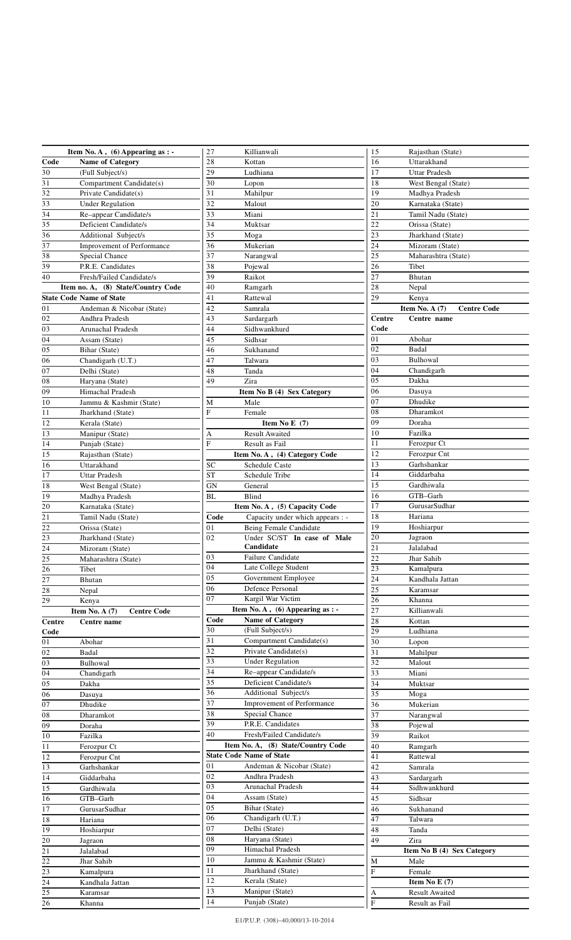|                 | Item No. A, $(6)$ Appearing as : -     | 27<br>Killianwali                           | Rajasthan (State)<br>15                |
|-----------------|----------------------------------------|---------------------------------------------|----------------------------------------|
| Code            | Name of Category                       | $\overline{28}$<br>Kottan                   | $\overline{16}$<br>Uttarakhand         |
| $\overline{30}$ | (Full Subject/s)                       | $\overline{29}$<br>Ludhiana                 | 17<br><b>Uttar Pradesh</b>             |
| $\overline{31}$ | Compartment Candidate(s)               | 30<br>Lopon                                 | 18<br>West Bengal (State)              |
| 32              | Private Candidate(s)                   | 31<br>Mahilpur                              | 19<br>Madhya Pradesh                   |
| 33              | <b>Under Regulation</b>                | $\overline{32}$<br>Malout                   | $\overline{20}$<br>Karnataka (State)   |
| $\overline{34}$ | Re-appear Candidate/s                  | 33<br>Miani                                 | 21<br>Tamil Nadu (State)               |
| 35              | Deficient Candidate/s                  | 34<br>Muktsar                               | 22<br>Orissa (State)                   |
| 36              | Additional Subject/s                   | 35<br>Moga                                  | 23<br>Jharkhand (State)                |
| 37              |                                        | 36                                          | 24                                     |
|                 | Improvement of Performance             | Mukerian                                    | Mizoram (State)                        |
| 38              | Special Chance                         | 37<br>Narangwal                             | 25<br>Maharashtra (State)              |
| 39              | P.R.E. Candidates                      | 38<br>Pojewal                               | 26<br>Tibet                            |
| 40              | Fresh/Failed Candidate/s               | 39<br>Raikot                                | 27<br>Bhutan                           |
|                 | Item no. A, (8) State/Country Code     | 40<br>Ramgarh                               | 28<br>Nepal                            |
|                 | <b>State Code Name of State</b>        | 41<br>Rattewal                              | 29<br>Kenya                            |
| 01              | Andeman & Nicobar (State)              | 42<br>Samrala                               | Item No. A $(7)$<br><b>Centre Code</b> |
| 02              | Andhra Pradesh                         | 43<br>Sardargarh                            | Centre<br>Centre name                  |
| 03              | Arunachal Pradesh                      | 44<br>Sidhwankhurd                          | Code                                   |
| 04              |                                        | 45<br>Sidhsar                               | 01<br>Abohar                           |
|                 | Assam (State)                          |                                             |                                        |
| 05              | Bihar (State)                          | 46<br>Sukhanand                             | 02<br>Badal                            |
| 06              | Chandigarh (U.T.)                      | 47<br>Talwara                               | 03<br>Bulhowal                         |
| 07              | Delhi (State)                          | 48<br>Tanda                                 | 04<br>Chandigarh                       |
| 08              | Haryana (State)                        | 49<br>Zira                                  | $\overline{05}$<br>Dakha               |
| 09              | Himachal Pradesh                       | Item No B (4) Sex Category                  | 06<br>Dasuya                           |
| 10              | Jammu & Kashmir (State)                | Male<br>М                                   | 07<br>Dhudike                          |
| 11              | Jharkhand (State)                      | F<br>Female                                 | 08<br>Dharamkot                        |
|                 |                                        | Item No E $(7)$                             | 09<br>Doraha                           |
| 12              | Kerala (State)                         | <b>Result Awaited</b>                       | 10<br>Fazilka                          |
| 13              | Manipur (State)                        | А                                           |                                        |
| 14              | Punjab (State)                         | $\boldsymbol{\mathrm{F}}$<br>Result as Fail | 11<br>Ferozpur Ct                      |
| 15              | Rajasthan (State)                      | Item No. A, (4) Category Code               | 12<br>Ferozpur Cnt                     |
| 16              | Uttarakhand                            | ${\rm SC}$<br>Schedule Caste                | 13<br>Garhshankar                      |
| $\overline{17}$ | <b>Uttar Pradesh</b>                   | $\overline{\text{ST}}$<br>Schedule Tribe    | 14<br>Giddarbaha                       |
| 18              | West Bengal (State)                    | <b>GN</b><br>General                        | 15<br>Gardhiwala                       |
| 19              | Madhya Pradesh                         | BL<br>Blind                                 | 16<br>GTB-Garh                         |
| 20              | Karnataka (State)                      | Item No. A, (5) Capacity Code               | 17<br>GurusarSudhar                    |
| 21              | Tamil Nadu (State)                     | Code<br>Capacity under which appears : -    | 18<br>Hariana                          |
| 22              |                                        | 01                                          | 19<br>Hoshiarpur                       |
|                 | Orissa (State)                         | Being Female Candidate                      | $\overline{20}$                        |
| 23              | Jharkhand (State)                      | 02<br>Under SC/ST In case of Male           | Jagraon                                |
| 24              | Mizoram (State)                        | Candidate                                   | 21<br>Jalalabad                        |
| $25\,$          | Maharashtra (State)                    | 03<br>Failure Candidate                     | $\frac{22}{23}$<br>Jhar Sahib          |
| 26              | Tibet                                  | $\overline{04}$<br>Late College Student     | Kamalpura                              |
| 27              | <b>Bhutan</b>                          | 05<br>Government Employee                   | 24<br>Kandhala Jattan                  |
| $\overline{28}$ | Nepal                                  | 06<br><b>Defence Personal</b>               | $\overline{25}$<br>Karamsar            |
| 29              | Kenya                                  | $\overline{07}$<br>Kargil War Victim        | 26<br>Khanna                           |
|                 | Item No. A $(7)$<br><b>Centre Code</b> | Item No. A, (6) Appearing as : -            | 27<br>Killianwali                      |
| Centre          | Centre name                            | Code<br><b>Name of Category</b>             | 28<br>Kottan                           |
| Code            |                                        | 30<br>(Full Subject/s)                      | 29<br>Ludhiana                         |
| 01              | Abohar                                 | $\overline{31}$<br>Compartment Candidate(s) | 30<br>Lopon                            |
|                 |                                        | $\overline{32}$<br>Private Candidate(s)     |                                        |
| 02              | Badal                                  |                                             | 31<br>Mahilpur                         |
| 03              | Bulhowal                               | 33<br><b>Under Regulation</b>               | $\overline{32}$<br>Malout              |
| 04              | Chandigarh                             | 34<br>Re-appear Candidate/s                 | 33<br>Miani                            |
| $\overline{05}$ | Dakha                                  | $\overline{35}$<br>Deficient Candidate/s    | 34<br>Muktsar                          |
| 06              | Dasuya                                 | $\overline{36}$<br>Additional Subject/s     | $\overline{35}$<br>Moga                |
| $\overline{07}$ | Dhudike                                | 37<br>Improvement of Performance            | 36<br>Mukerian                         |
| 08              | Dharamkot                              | 38<br>Special Chance                        | 37<br>Narangwal                        |
| 09              | Doraha                                 | 39<br>P.R.E. Candidates                     | 38<br>Pojewal                          |
| 10              | Fazilka                                | 40<br>Fresh/Failed Candidate/s              | 39<br>Raikot                           |
|                 |                                        | Item No. A, (8) State/Country Code          |                                        |
| 11              | Ferozpur Ct                            |                                             | 40<br>Ramgarh                          |
| 12              | Ferozpur Cnt                           | <b>State Code Name of State</b>             | 41<br>Rattewal                         |
| 13              | Garhshankar                            | 01<br>Andeman & Nicobar (State)             | 42<br>Samrala                          |
| 14              | Giddarbaha                             | 02<br>Andhra Pradesh                        | 43<br>Sardargarh                       |
| 15              | Gardhiwala                             | 03<br>Arunachal Pradesh                     | 44<br>Sidhwankhurd                     |
| 16              | GTB-Garh                               | 04<br>Assam (State)                         | 45<br>Sidhsar                          |
| 17              | GurusarSudhar                          | 05<br>Bihar (State)                         | 46<br>Sukhanand                        |
| 18              | Hariana                                | 06<br>Chandigarh (U.T.)                     | $47\,$<br>Talwara                      |
| 19              |                                        | 07<br>Delhi (State)                         | 48<br>Tanda                            |
|                 | Hoshiarpur                             | $\overline{08}$<br>Haryana (State)          |                                        |
| $20\,$          | Jagraon                                | $\overline{09}$                             | 49<br>Zira                             |
| $\overline{21}$ | Jalalabad                              | Himachal Pradesh                            | Item No B (4) Sex Category             |
| 22              | Jhar Sahib                             | 10<br>Jammu & Kashmir (State)               | М<br>Male                              |
| 23              | Kamalpura                              | $11\,$<br>Jharkhand (State)                 | F<br>Female                            |
| 24              | Kandhala Jattan                        | $\overline{12}$<br>Kerala (State)           | Item No E $(7)$                        |
| 25              | Karamsar                               | $\overline{13}$<br>Manipur (State)          | <b>Result Awaited</b><br>A             |
| 26              | Khanna                                 | $14\,$<br>Punjab (State)                    | $\mathbf F$<br>Result as Fail          |
|                 |                                        |                                             |                                        |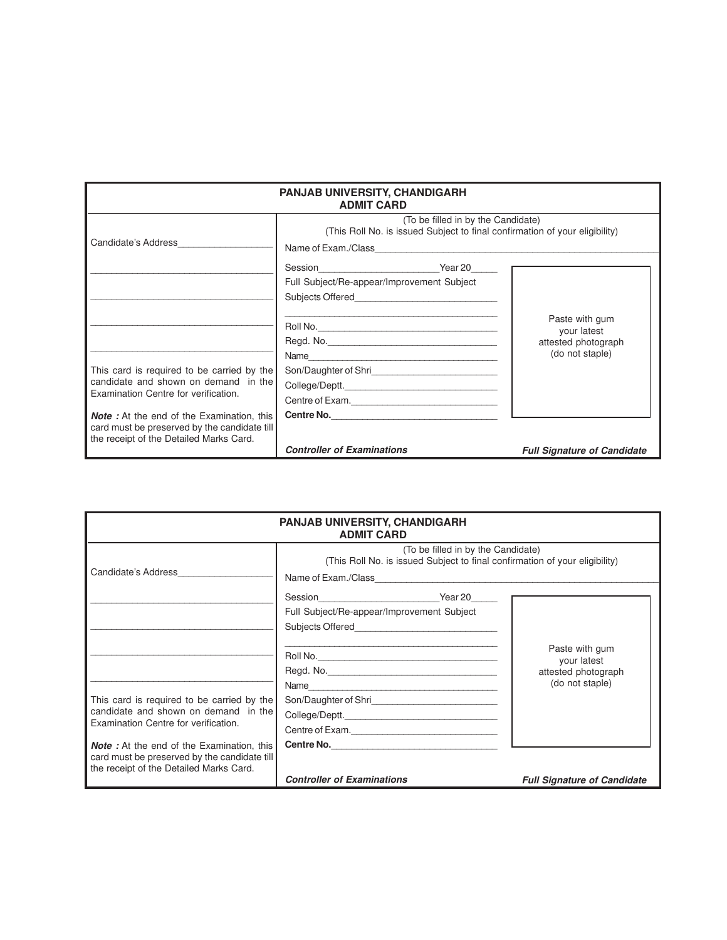| <b>PANJAB UNIVERSITY, CHANDIGARH</b><br><b>ADMIT CARD</b>                                                                                             |                                                                                                                                                                                                                                                                                            |                                        |  |  |  |
|-------------------------------------------------------------------------------------------------------------------------------------------------------|--------------------------------------------------------------------------------------------------------------------------------------------------------------------------------------------------------------------------------------------------------------------------------------------|----------------------------------------|--|--|--|
| (To be filled in by the Candidate)<br>(This Roll No. is issued Subject to final confirmation of your eligibility)<br>Candidate's Address_____________ |                                                                                                                                                                                                                                                                                            |                                        |  |  |  |
|                                                                                                                                                       | Name of Exam./Class example and the state of Exam./Class<br>Session Session Session Session Session Session Session Session Session Session Session Session Session Session Session Session Session Session Session Session Session Session Session Session Session Session Session Sessio |                                        |  |  |  |
|                                                                                                                                                       | Full Subject/Re-appear/Improvement Subject<br>Subjects Offered <b>Example 2014</b>                                                                                                                                                                                                         |                                        |  |  |  |
|                                                                                                                                                       |                                                                                                                                                                                                                                                                                            | Paste with gum<br>your latest          |  |  |  |
|                                                                                                                                                       | Name                                                                                                                                                                                                                                                                                       | attested photograph<br>(do not staple) |  |  |  |
| This card is required to be carried by the<br>candidate and shown on demand in the<br>Examination Centre for verification.                            |                                                                                                                                                                                                                                                                                            |                                        |  |  |  |
| <b>Note</b> : At the end of the Examination, this                                                                                                     | Centre of Exam.<br>Centre No.                                                                                                                                                                                                                                                              |                                        |  |  |  |
| card must be preserved by the candidate till<br>the receipt of the Detailed Marks Card.                                                               | <b>Controller of Examinations</b>                                                                                                                                                                                                                                                          | <b>Full Signature of Candidate</b>     |  |  |  |

| <b>PANJAB UNIVERSITY, CHANDIGARH</b><br><b>ADMIT CARD</b>                                                                                                                            |                                                                                                                   |                                                                         |  |  |  |
|--------------------------------------------------------------------------------------------------------------------------------------------------------------------------------------|-------------------------------------------------------------------------------------------------------------------|-------------------------------------------------------------------------|--|--|--|
| Candidate's Address                                                                                                                                                                  | (To be filled in by the Candidate)<br>(This Roll No. is issued Subject to final confirmation of your eligibility) |                                                                         |  |  |  |
|                                                                                                                                                                                      | Full Subject/Re-appear/Improvement Subject                                                                        |                                                                         |  |  |  |
| This card is required to be carried by the<br>candidate and shown on demand in the                                                                                                   | Name                                                                                                              | Paste with gum<br>your latest<br>attested photograph<br>(do not staple) |  |  |  |
| Examination Centre for verification.<br><b>Note</b> : At the end of the Examination, this<br>card must be preserved by the candidate till<br>the receipt of the Detailed Marks Card. | Centre No.<br><b>Controller of Examinations</b>                                                                   | <b>Full Signature of Candidate</b>                                      |  |  |  |